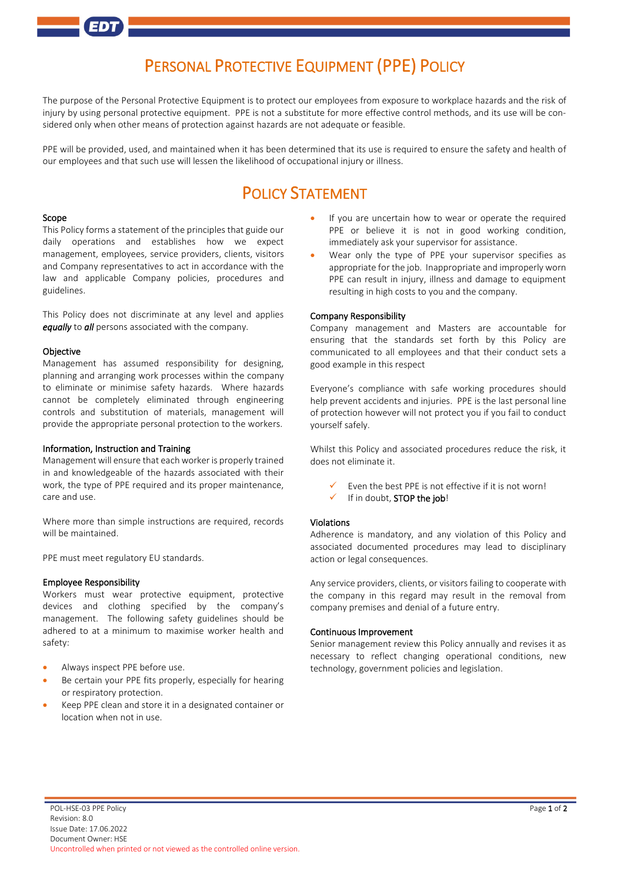# PERSONAL PROTECTIVE EQUIPMENT (PPE) POLICY

The purpose of the Personal Protective Equipment is to protect our employees from exposure to workplace hazards and the risk of injury by using personal protective equipment. PPE is not a substitute for more effective control methods, and its use will be considered only when other means of protection against hazards are not adequate or feasible.

PPE will be provided, used, and maintained when it has been determined that its use is required to ensure the safety and health of our employees and that such use will lessen the likelihood of occupational injury or illness.

# POLICY STATEMENT

#### Scope

This Policy forms a statement of the principles that guide our daily operations and establishes how we expect management, employees, service providers, clients, visitors and Company representatives to act in accordance with the law and applicable Company policies, procedures and guidelines.

This Policy does not discriminate at any level and applies *equally* to *all* persons associated with the company.

#### Objective

Management has assumed responsibility for designing, planning and arranging work processes within the company to eliminate or minimise safety hazards. Where hazards cannot be completely eliminated through engineering controls and substitution of materials, management will provide the appropriate personal protection to the workers.

#### Information, Instruction and Training

Management will ensure that each worker is properly trained in and knowledgeable of the hazards associated with their work, the type of PPE required and its proper maintenance, care and use.

Where more than simple instructions are required, records will be maintained.

PPE must meet regulatory EU standards.

#### Employee Responsibility

Workers must wear protective equipment, protective devices and clothing specified by the company's management. The following safety guidelines should be adhered to at a minimum to maximise worker health and safety:

- Always inspect PPE before use.
- Be certain your PPE fits properly, especially for hearing or respiratory protection.
- Keep PPE clean and store it in a designated container or location when not in use.
- If you are uncertain how to wear or operate the required PPE or believe it is not in good working condition, immediately ask your supervisor for assistance.
- Wear only the type of PPE your supervisor specifies as appropriate for the job. Inappropriate and improperly worn PPE can result in injury, illness and damage to equipment resulting in high costs to you and the company.

## Company Responsibility

Company management and Masters are accountable for ensuring that the standards set forth by this Policy are communicated to all employees and that their conduct sets a good example in this respect

Everyone's compliance with safe working procedures should help prevent accidents and injuries. PPE is the last personal line of protection however will not protect you if you fail to conduct yourself safely.

Whilst this Policy and associated procedures reduce the risk, it does not eliminate it.

- Even the best PPE is not effective if it is not worn!
- If in doubt, STOP the job!

## Violations

Adherence is mandatory, and any violation of this Policy and associated documented procedures may lead to disciplinary action or legal consequences.

Any service providers, clients, or visitors failing to cooperate with the company in this regard may result in the removal from company premises and denial of a future entry.

#### Continuous Improvement

Senior management review this Policy annually and revises it as necessary to reflect changing operational conditions, new technology, government policies and legislation.